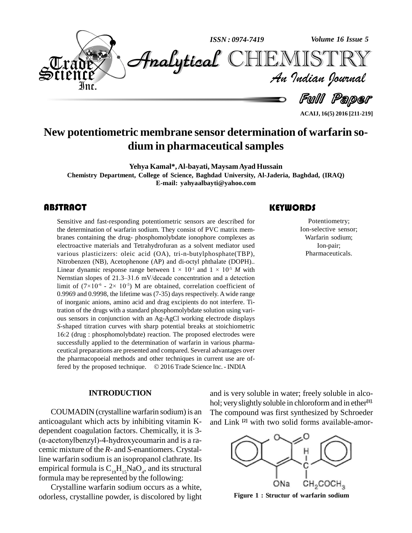

**ACAIJ, 16(5) 2016 [211-219]**

# **New potentiometric membrane sensor determination of warfarin so dium in pharmaceuticalsamples**

**Yehya Kamal\*,Al-bayati, MaysamAyad Hussain Chemistry Department, College of Science, Baghdad University, Al-Jaderia, Baghdad, (IRAQ) E-mail: [yahyaalbayti@yahoo.com](mailto:yahyaalbayti@yahoo.com)**

# **ABSTRACT**

Sensitive and fast-resport<br>the determination of ware<br>branes containing the di Sensitive and fast-responding potentiometric sensors are described for the determination of warfarin sodium. They consist of PVC matrix mem branes containing the drug- phosphomolybdate ionophore complexes as electroactive materials and Tetrahydrofuran as a solvent mediator used various plasticizers: oleic acid (OA), tri-n-butylphosphate(TBP), Nitrobenzen (NB), Acetophenone (AP) and di-octyl phthalate (DOPH).. various plasticizers: oleic acid (OA), tri-n-butylphosphate(TBP),<br>Nitrobenzen (NB), Acetophenone (AP) and di-octyl phthalate (DOPH)..<br>Linear dynamic response range between  $1 \times 10^{-1}$  and  $1 \times 10^{-5}$  *M* with Nitrobenzen (NB), Acetophenone (AP) and di-octyl phthalate (DOPH)..<br>Linear dynamic response range between  $1 \times 10^{-1}$  and  $1 \times 10^{-5}$  *M* with<br>Nernstian slopes of 21.3–31.6 mV/decade concentration and a detection Linear dynamic response range b<br>Nernstian slopes of 21.3–31.6 mV<br>limit of  $(7\times10^{-6} - 2\times 10^{-5})$  M are limit of  $(7\times10^{-6} - 2\times10^{-5})$  M are obtained, correlation coefficient of 0.9969 and 0.9998, the lifetime was (7-35) days respectively. Awide range of inorganic anions, amino acid and drag excipients do notinterfere. Titration of the drugs with a standard phosphomolybdate solution using vari ous sensors in conjunction with an Ag-AgCl working electrode displays *S*-shaped titration curves with sharp potential breaks at stoichiometric tration of the drugs with a standard phosphomolybdate solution using vari-<br>ous sensors in conjunction with an Ag-AgCl working electrode displays<br>S-shaped titration curves with sharp potential breaks at stoichiometric<br>16:2 successfully applied to the determination of warfarin in various pharmaceutical preparations are presented and compared. Several advantages over the pharmacopoeial methods and other techniques in current use are offered by the proposed technique.  $\oslash$  2016 Trade Science Inc. - INDIA

#### **INTRODUCTION**

COUMADIN (crystalline warfarin sodium) is an anticoagulant which acts by inhibiting vitamin K dependent coagulation factors. Chemically, it is 3-  $(\alpha$ -acetonylbenzyl)-4-hydroxycoumarin and is a racemic mixture of the *R*- and *S*-enantiomers. Crystalline warfarin sodium is an isopropanol clathrate. Its empirical formula is  $C_{19}H_{15}NaO_4$ , and its structural formula may be represented by the following:

Crystalline warfarin sodium occurs as a white, odorless, crystalline powder, is discolored by light

and is very soluble in water; freely soluble in alco hol; veryslightly soluble in chloroformand in ether **[1]**. The compound was first synthesized by Schroeder and Link **[2]** with two solid forms available-amor-



**Figure 1 : Structur of warfarin sodium**

# **KEYWORDS**

Potentiometr<br>Ion-selective se<br>Warfarin sodiu Potentiometry; Ion-selective sensor; Warfarin sodium; Ion-pair; Pharmaceuticals.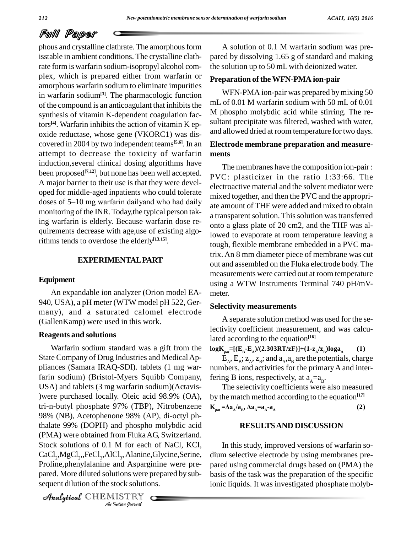# Full Paper

phous and crystalline clathrate. The amorphous form isstable in ambient conditions. The crystalline clathrate form is warfarin sodium-isopropyl alcohol com plex, which is prepared either from warfarin or amorphous warfarin sodium to eliminate impurities in warfarin sodium**[3]**. The pharmacologic function of the compound is an anticoagulant that inhibits the synthesis of vitamin K-dependent coagulation factors **[4]**. Warfarin inhibits the action of vitamin K ep oxide reductase, whose gene (VKORC1) was dis covered in 2004 by two independent teams **[5,6]**. In an attempt to decrease the toxicity of warfarin induction,several clinical dosing algorithms have been proposed<sup>[7,12]</sup>, but none has been well accepted. <sub>D</sub> A major barrier to their use is that they were devel oped for middle-aged inpatients who could tolerate  $\frac{1}{\text{mixed}}$ A major barrier to their use is that they were devel-<br>oped for middle-aged inpatients who could tolerate<br>doses of 5–10 mg warfarin dailyand who had daily monitoring of the INR. Today, the typical person taking warfarin is elderly. Because warfarin dose re quirements decrease with age,use of existing algorithms tends to overdose the elderly **[13,15]**.

# **EXPERIMENTALPART**

#### **Equipment**

An expandable ion analyzer (Orion model EA- 940, USA), a pH meter (WTW model pH 522, Ger many), and a saturated calomel electrode (GallenKamp) were used in this work.

#### **Reagents and solutions**

*A* Stock solutions of 0.1 M for each of NaCl, KCl, *Indian*<br>*Cl<sub>3</sub>, Alanine,*<br>and Aspargi<br>*Indian bournal*  $CaCl<sub>2</sub>, MgCl<sub>2</sub>, FeCl<sub>3</sub>, AICl<sub>3</sub>, Alanine, Glycine, Serine, di$ Warfarin sodium standard was a gift from the State Company of Drug Industries and Medical Appliances (Samara IRAQ-SDI). tablets (1 mg warfarin sodium) (Bristol-Myers Squibb Company, USA) and tablets (3 mg warfarin sodium)(Actavis- )were purchased locally. Oleic acid 98.9% (OA), tri-n-butyl phosphate 97% (TBP), Nitrobenzene 98% (NB), Acetophenone 98% (AP), di-octyl phthalate 99% (DOPH) and phospho molybdic acid (PMA) were obtained from FlukaAG, Switzerland. Proline,phenylalanine and Asparginine were pre pared. More diluted solutions were prepared by sub sequent dilution of the stock solutions.

CHEMISTRY COMPANY

A solution of 0.1 M warfarin sodium was pre pared by dissolving 1.65 g of standard and making the solution up to 50 mLwith deionized water.

### **Preparation of theWFN-PMA ion-pair**

WFN-PMA ion-pair was prepared by mixing 50 mL of 0.01 M warfarin sodium with 50 mL of 0.01 M phospho molybdic acid while stirring. The re sultant precipitate was filtered, washed with water, and allowed dried at room temperature for two days.

# **Electrode membrane preparation and measure ments**

The membranes have the composition ion-pair : PVC: plasticizer in the ratio 1:33:66. The electroactive material and the solvent mediator were mixed together, and then the PVC and the appropri ate amount of THF were added and mixed to obtain a transparent solution. This solution was transferred onto a glass plate of 20 cm2, and the THF was allowed to evaporate at room temperature leaving a tough, flexible membrane embedded in a PVC matrix. An 8 mm diameter piece of membrane was cut out and assembled on the Fluka electrode body. The measurements were carried out at room temperature using a WTW Instruments Terminal 740 pH/mV meter.

#### **Selectivity measurements**

A separate solution method was used for the selectivity coefficient measurement, and was calculated according to the equation **[16]**

 $\log K_{pot} = [(E_{B} - E_{A})/(2.303RT/zF)] + (1 - z_{A}/z_{B}) \log a_{A}$  (1) **(1)**

 $E_A$ ,  $E_B$ ;  $Z_A$ ,  $Z_B$ ; and  $a_A$ , $a_B$  are the potentials, charge numbers, and activities for the primary A and interfering B ions, respectively, at  $a_A = a_B$ .

The selectivity coefficients were also measured by the match method according to the equation **[17] K**<sub>pot</sub> = $\Delta$ **a**<sub>A</sub> $/\mathbf{a}_B$ ,  $\Delta$ **a**<sub>A</sub> $=$ **a**<sub>A</sub> $\cdot$ **a**<sub>A</sub>  $\lambda$ **a**<sub>A</sub> =**a**<sub>A</sub> -**a**<sub>A</sub> **(2)**

## **RESULTSAND DISCUSSION**

In this study, improved versions of warfarin so dium selective electrode by using membranes pre pared using commercial drugs based on (PMA) the basis of the task was the preparation of the specific ionic liquids. It was investigated phosphate molyb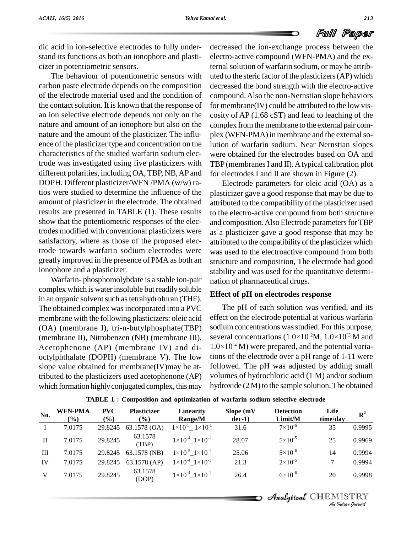dic acid in ion-selective electrodes to fully under stand its functions as both an ionophore and plasti cizer in potentiometric sensors.

The behaviour of potentiometric sensors with carbon paste electrode depends on the composition of the electrode material used and the condition of the contact solution. It is known that the response of an ion selective electrode depends not only on the nature and amount of an ionophore but also on the nature and the amount of the plasticizer. The influ ence of the plasticizer type and concentration on the characteristics of the studied warfarin sodium electrode was investigated using five plasticizers with different polarities, including OA,TBP, NB,AP and DOPH. Different plasticizer/WFN /PMA (w/w) ratios were studied to determine the influence of the amount of plasticizer in the electrode. The obtained results are presented in TABLE (1). These results show that the potentiometric responses of the electrodes modified with conventional plasticizers were satisfactory, where as those of the proposed electrode towards warfarin sodium electrodes were greatly improved in the presence of PMA as both an ionophore and a plasticizer.

Warfarin- phosphomolybdate is a stable ion-pair complex which is water insoluble but readily soluble in an organic solvent such as tetrahydrofuran (THF). The obtained complex was incorporated into a PVC membrane with the following plasticizers: oleic acid (OA) (membrane I), tri-n-butylphosphate(TBP) (membrane II), Nitrobenzen (NB) (membrane III), Acetophenone (AP) (membrane IV) and di octylphthalate (DOPH) (membrane V). The low slope value obtained for membrane(IV)may be attributed to the plasticizers used acetophenone (AP) which formation highly conjugated complex, this may

decreased the ion-exchange process between the electro-active compound (WFN-PMA) and the external solution of warfarin sodium, or may be attributed to the steric factor of the plasticizers(AP) which decreased the bond strength with the electro-active compound.Also the non-Nernstian slope behaviors for membrane(IV) could be attributed to the low vis cosity of AP (1.68 cST) and lead to leaching of the complex from the membrane to the external pair complex (WFN-PMA) in membrane and the external solution of warfarin sodium. Near Nernstian slopes were obtained for the electrodes based on OA and TBP (membranes I and II). A typical calibration plot for electrodes I and II are shown in Figure (2).

Electrode parameters for oleic acid (OA) as a plasticizer gave a good response that may be due to attributed to the compatibility of the plasticizer used to the electro-active compound from both structure and composition. Also Electrode parameters for TBP as a plasticizer gave a good response that may be attributed to the compatibility of the plasticizer which was used to the electroactive compound from both structure and composition, The electrode had good stability and was used for the quantitative determi nation of pharmaceutical drugs.

#### **Effect of pH on electrodes response**

The pH of each solution was verified, and its effect on the electrode potential at various warfarin<br>sodium concentrations was studied. For this purpose,<br>several concentrations  $(1.0\times10^{12}M, 1.0\times10^{13}M$  and sodium concentrations was studied. For this purpose, several concentrations  $(1.0\times10^{12}M, 1.0\times10^{13}M$  and sodium concentrations was studied. For this purpose,<br>several concentrations  $(1.0\times10^{12}M, 1.0\times10^{13}M$  and<br> $1.0\times10^{14}M$ ) were prepared, and the potential variations of the electrode over a pH range of 1-11 were followed. The pH was adjusted by adding small volumes of hydrochloric acid (1 M) and/or sodium hydroxide  $(2 M)$  to the sample solution. The obtained

| No.          | <b>WFN-PMA</b><br>$(\%)$ | <b>PVC</b><br>$\frac{6}{6}$ | <b>Plasticizer</b><br>$(\%)$ | Linearity<br>Range/M                  | Slope (mV<br>$dec-1)$ | <b>Detection</b><br>Limit/M | Life<br>time/day | ${\bf R}^2$ |
|--------------|--------------------------|-----------------------------|------------------------------|---------------------------------------|-----------------------|-----------------------------|------------------|-------------|
|              | 7.0175                   | 29.8245                     | 63.1578 (OA)                 | $1 \times 10^{-5}$ $1 \times 10^{-1}$ | 31.6                  | $7 \times 10^{-6}$          | 35               | 0.9995      |
| $\mathbf{I}$ | 7.0175                   | 29.8245                     | 63.1578<br>(TBP)             | $1 \times 10^{-4}$ $1 \times 10^{-1}$ | 28.07                 | $5 \times 10^{-5}$          | 25               | 0.9969      |
| Ш            | 7.0175                   | 29.8245                     | 63.1578 (NB)                 | $1 \times 10^{-5}$ $1 \times 10^{-1}$ | 25.06                 | $5 \times 10^{-6}$          | 14               | 0.9994      |
| IV           | 7.0175                   | 29.8245                     | 63.1578 (AP)                 | $1 \times 10^{-4}$ $1 \times 10^{-1}$ | 21.3                  | $2 \times 10^{-5}$          | 7                | 0.9994      |
| V            | 7.0175                   | 29.8245                     | 63.1578<br>(DOP)             | $1 \times 10^{-4}$ $1 \times 10^{-1}$ | 26.4                  | $6 \times 10^{-6}$          | 20               | 0.9998      |

**TABLE 1 : Composition and optimization of warfarin sodium selective electrode**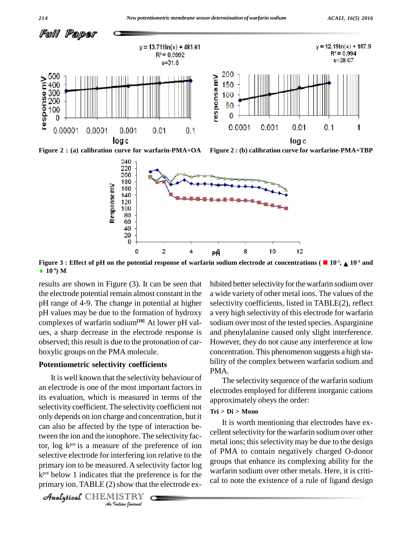

**Figure 2 : (a) calibration curve for warfarin-PMA+OA Figure 2 : (b) calibration curve for warfarine-PMA+TBP**



Figure 3 : Effect of pH on the potential response of warfarin sodium electrode at concentrations ( $\blacksquare$  10<sup>-2</sup>,  $\blacktriangle$  10<sup>-3</sup> and **10 -4) M**

results are shown in Figure (3). It can be seen that the electrode potential remain almost constant in the pH range of 4-9. The change in potential at higher pH values may be due to the formation of hydroxy complexes of warfarin sodium**[18]**. At lower pH val ues, a sharp decrease in the electrode response is observed; this result is due to the protonation of carboxylic groups on the PMA molecule.

#### **Potentiometric selectivity coefficients**

tor,  $\log k^{pot}$  is a measure of the preference of ion *Interfering io*<br>*Interfering io*<br>*Indian the prefe*<br>*ISTRY*<br>*<i>Indian Bournal* selective electrode for interfering ion relative to the of  $\overline{PN}$ It is well known that the selectivity behaviour of an electrode is one of the most important factors in its evaluation, which is measured in terms of the selectivity coefficient. The selectivity coefficient not only depends on ion charge and concentration, but it can also be affected by the type of interaction between the ion and the ionophore. The selectivity facprimary ion to be measured. A selectivity factor log  $k<sub>pot</sub>$  below 1 indicates that the preference is for the  $\frac{W}{k}$ primary ion. TABLE (2) show that the electrode  $ex-$ 

```
Analytical CHEMISTRY
```
hibited better selectivity for the warfarin sodium over a wide variety of other metal ions. The values of the selectivity coefficients, listed in TABLE(2), reflect a very high selectivity of this electrode for warfarin sodium over most of the tested species. Asparginine and phenylalanine caused only slight interference. However, they do not cause any interference at low concentration. This phenomenon suggests a high sta bility of the complex between warfarin sodium and PMA.

The selectivity sequence of the warfarin sodium electrodes employed for different inorganic cations approximately obeys the order:

# **Tri > Di > Mono**

It is worth mentioning that electrodes have ex cellent selectivity for the warfarin sodium over other metal ions; this selectivity may be due to the design of PMA to contain negatively charged O-donor groups that enhance its complexing ability for the warfarin sodium over other metals. Here, it is criti cal to note the existence of a rule of ligand design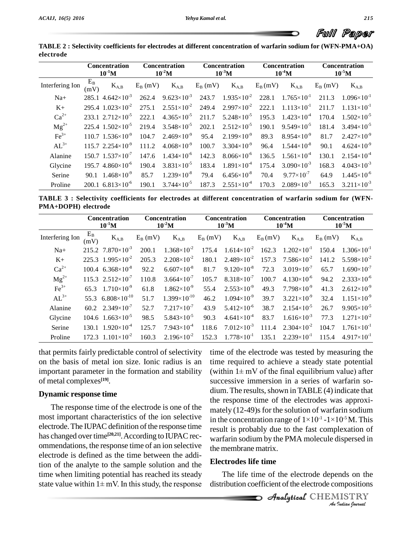Full Paper

 $^{7}$  64.9 1.445×10<sup>-6</sup><br><sup>-3</sup> 165.3 3.211×10<sup>-3</sup>

|                 | Concentration<br>$10^{-1}$ M |                                         | <b>Concentration</b><br>$10^{-2}$ M |                        | <b>Concentration</b><br>$10^{-3}$ M |                        | <b>Concentration</b><br>$10^{-4}$ M |                        | <b>Concentration</b><br>$10^{-5}$ M |                        |
|-----------------|------------------------------|-----------------------------------------|-------------------------------------|------------------------|-------------------------------------|------------------------|-------------------------------------|------------------------|-------------------------------------|------------------------|
| Interfering Ion | $E_B$<br>(mV)                | $K_{A,B}$                               | $E_{\rm B}$ (mV)                    | $K_{A,B}$              | $E_B$ (mV)                          | $K_{A,B}$              | $E_B(mV)$                           | $K_{A,B}$              | $E_B$ (mV)                          | $K_{A,B}$              |
| $Na+$           |                              | $285.1$ 4.642×10 <sup>-3</sup>          | 262.4                               | $9.623\times10^{-3}$   | 243.7                               | $1.935\times10^{2}$    | 228.1                               | $1.765 \times 10^{-1}$ | 211.3                               | $1.096 \times 10^{-1}$ |
| $K_{+}$         |                              | 295.4 $1.023 \times 10^{-2}$            | 275.1                               | $2.551\times10^{-2}$   | 249.4                               | $2.997 \times 10^{-2}$ | 222.1                               | $1.113\times10^{-1}$   | 211.7                               | $1.131\times10^{-1}$   |
| $Ca^{2+}$       |                              | $233.1$ $2.712 \times 10^{-5}$          | 222.1                               | $4.365 \times 10^{-5}$ | 211.7                               | $5.248 \times 10^{-5}$ | 195.3                               | $1.423 \times 10^{-4}$ | 170.4                               | $1.502\times10^{-5}$   |
| $Mg^{2+}$       |                              | $225.4$ 1.502×10 <sup>-5</sup>          | 219.4                               | $3.548 \times 10^{-5}$ | 202.1                               | $2.512\times10^{-5}$   | 190.1                               | $9.549\times10^{-5}$   | 181.4                               | $3.494 \times 10^{-5}$ |
| $Fe3+$          |                              | $110.7$ 1.536 $\times$ 10 <sup>-9</sup> | 104.7                               | $2.469\times10^{-9}$   | 95.4                                | $2.199\times10^{-9}$   | 89.3                                | $8.954\times10^{-9}$   | 81.7                                | $2.427 \times 10^{-9}$ |
| $AL^{3+}$       |                              | $115.7$ 2.254 $\times$ 10 <sup>-9</sup> | 111.2                               | $4.068\times10^{-9}$   | 100.7                               | $3.304\times10^{-9}$   | 96.4                                | $1.544 \times 10^{-8}$ | 90.1                                | $4.624\times10^{-9}$   |
| Alanine         |                              | $150.7$ $1.537\times10^{-7}$            | 147.6                               | $1.434\times10^{-6}$   | 142.3                               | $8.066\times10^{-6}$   | 136.5                               | $1.561\times10^{4}$    | 130.1                               | $2.154\times10^{-4}$   |
| Glycine         |                              | $195.7$ 4.860 $\times$ 10 <sup>-6</sup> | 190.4                               | $3.831\times10^{-5}$   | 183.4                               | $1.891\times10^{-4}$   | 175.4                               | $3.090\times10^{-3}$   | 168.3                               | $4.043\times10^{-3}$   |
| Serine          |                              | 90.1 $1.468 \times 10^{-9}$             | 85.7                                | $1.239\times10^{-8}$   | 79.4                                | $6.456\times10^{-8}$   | 70.4                                | $9.77\times10^{-7}$    | 64.9                                | $1.445 \times 10^{-6}$ |

**TABLE 2 : Selectivity coefficients for electrodes at different concentration of warfarin sodium for (WFN-PMA+OA)**

**TABLE 3 : Selectivity coefficients for electrodes at different concentration of warfarin sodium for (WFN- PMA+DOPH) electrode**

 $-5$  185.4 1.891×10 175.4<br>  $-79.4$  6.456×10<sup>-8</sup> 70.4<br>  $-5$  187.3 2.551×10<sup>-4</sup> 170.5

 $^{9}$  85.7 1.239×10<sup>8</sup> 79.4<br>
<sup>-6</sup> 190.1 3.744×10<sup>5</sup> 187.

|                 |               | <b>Concentration</b><br>$10^{-1}$ M     |                  | <b>Concentration</b><br>$10^{-2}$ M |            | <b>Concentration</b><br>$10^{-3}$ M |           | <b>Concentration</b><br>$10^{-4}$ M |                  | <b>Concentration</b><br>$10^{-5}$ M |  |
|-----------------|---------------|-----------------------------------------|------------------|-------------------------------------|------------|-------------------------------------|-----------|-------------------------------------|------------------|-------------------------------------|--|
| Interfering Ion | $E_B$<br>(mV) | $K_{A,B}$                               | $E_{\rm B}$ (mV) | $K_{A,B}$                           | $E_B$ (mV) | $K_{A,B}$                           | $E_B(mV)$ | $K_{A,B}$                           | $E_{\rm B}$ (mV) | $K_{A,B}$                           |  |
| $Na+$           |               | $215.2$ 7.870 $\times$ 10 <sup>-3</sup> | 200.1            | $1.368 \times 10^{-2}$              | 175.4      | $1.614\times10^{-2}$                | 162.3     | $1.202\times10^{-1}$                | 150.4            | $1.306\times10^{-1}$                |  |
| $K+$            |               | 225.3 $1.995 \times 10^{-2}$            | 205.3            | $2.208 \times 10^{-2}$              | 180.1      | $2.489\times10^{-2}$                |           | $157.3$ $7.586 \times 10^{-2}$      | 141.2            | $5.598 \times 10^{-2}$              |  |
| $Ca^{2+}$       |               | $100.4$ 6.368 $\times$ 10 <sup>-8</sup> | 92.2             | $6.607\times10^{-8}$                | 81.7       | $9.120\times10^{-8}$                | 72.3      | $3.019\times10^{-7}$                | 65.7             | $1.690\times10^{-7}$                |  |
| $Mg^{2+}$       |               | $115.3$ $2.512 \times 10^{-7}$          | 110.8            | $3.664\times10^{-7}$                | 105.7      | $8.318\times10^{-7}$                | 100.7     | $4.130\times10^{-6}$                | 94.2             | $2.333\times10^{-6}$                |  |
| $Fe3+$          |               | 65.3 $1.710 \times 10^{-9}$             | 61.8             | $1.862\times10^{-9}$                | 55.4       | $2.553\times10^{-9}$                | 49.3      | $7.798 \times 10^{-9}$              | 41.3             | $2.612\times10^{-9}$                |  |
| $AL^{3+}$       |               | 55.3 6.808 $\times$ 10 <sup>-10</sup>   | 51.7             | $1.399\times10^{-10}$               | 46.2       | $1.094\times10^{-9}$                | 39.7      | $3.221\times10^{-9}$                | 32.4             | $1.151\times10^{-9}$                |  |
| Alanine         |               | $60.2 \quad 2.349 \times 10^{-7}$       | 52.7             | $7.217\times10^{-7}$                | 43.9       | $5.412\times10^{-6}$                | 38.7      | $2.154\times10^{-5}$                | 26.7             | $9.905 \times 10^{-5}$              |  |
| Glycine         |               | $104.6$ $1.663 \times 10^{-5}$          | 98.5             | $5.843\times10^{-5}$                | 90.3       | $4.641\times10^{4}$                 | 83.7      | $1.616\times10^{-3}$                | 77.3             | $1.271 \times 10^{-2}$              |  |
| Serine          |               | $130.1 \quad 1.920 \times 10^{-4}$      | 125.7            | $7.943\times10^{-4}$                | 118.6      | $7.012\times10^{-3}$                | 111.4     | $2.304 \times 10^{-2}$              | 104.7            | $1.761\times10^{-1}$                |  |
| Proline         |               | 172.3 $1.101 \times 10^{-2}$            | 160.3            | $2.196 \times 10^{-2}$              | 152.3      | $1.778 \times 10^{-1}$              | 135.1     | $2.239\times10^{-1}$                | 115.4            | $4.917\times10^{-1}$                |  |

that permits fairly predictable control of selectivity on the basis of metal ion size. Ionic radius is an important parameter in the formation and stability (within  $1 \pm mV$  of the final equilibrium value) after of metal complexes **[19]**.

Serine  $90.1 \t 1.468 \times 10^{9} \t 85.7$ <br>Proline  $200.1 \t 6.813 \times 10^{6} \t 190.1$ 

#### **Dynamic response time**

The response time of the electrode is one of the most important characteristics of the ion selective electrode. The IUPAC definition of the response time has changed over time<sup>[20,21]</sup>. According to IUPAC rec- warfa ommendations, the response time of an ion selective electrode is defined as the time between the addition of the analyte to the sample solution and the **Elect** time when limiting potential has reached its steady T<br>state value within  $1 \pm mV$ . In this study, the response distributed its steady time when limiting potential has reached its steady

the membrane matrix. time of the electrode was tested by measuring the (within <sup>1</sup><sup>±</sup> mV of the final equilibrium value) after time required to achieve a steady state potential successive immersion in a series of warfarin so  $dium. The results, shown in TABLE (4) indicate that$ the response time of the electrodes was approximately (12-49)s for the solution of warfarin sodium<br>in the concentration range of  $1\times10^{-1}$  -1 $\times10^{-5}$ M. This mately (12-49)s for the solution of warfarin sodium in the concentration range of  $1\times10^{-1}$  -  $1\times10^{-5}$  M. This result is probably due to the fast complexation of warfarin sodium by the PMA molecule dispersed in

 $^{17}$ ,  $^{17}$ ,  $^{4}$   $^{5}$ ,  $^{70}$ ,  $^{4}$   $^{9}$ ,  $^{77}$   $^{10^{7}}$   $^{64}$ ,  $^{4}$   $^{170.3}$   $^{2}$ ,  $^{089 \times 10^{3}}$   $^{165}$ ,  $^{165}$ 

#### **Electrodes life time**

*Inds* on the<br>*IISTRY*<br>*Indian hournal* The life time of the electrode depends on the distribution coefficient of the electrode compositions

CHEMISTRY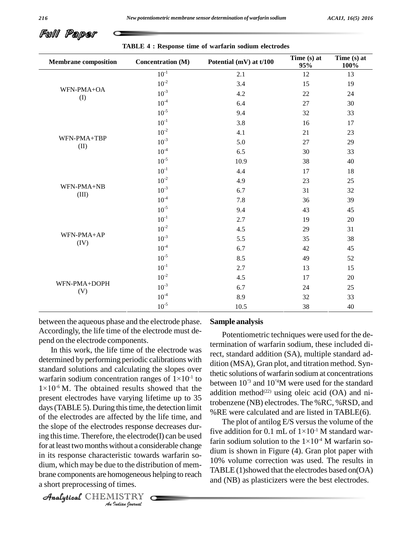Full Paper

| <b>Membrane</b> composition | Concentration (M)            | Potential (mV) at t/100                                                                                                                                                                                                                                           | Time (s) at<br>95%                                                                                         | Time (s) at<br>100% |
|-----------------------------|------------------------------|-------------------------------------------------------------------------------------------------------------------------------------------------------------------------------------------------------------------------------------------------------------------|------------------------------------------------------------------------------------------------------------|---------------------|
|                             | $10^{\mbox{\scriptsize -1}}$ | 2.1                                                                                                                                                                                                                                                               | 12                                                                                                         | 13                  |
| WFN-PMA+OA                  | $10^{-2}$                    | 3.4                                                                                                                                                                                                                                                               | 15                                                                                                         | 19                  |
| (1)                         | $10^{-3}$                    | 4.2                                                                                                                                                                                                                                                               | 22                                                                                                         | 24                  |
|                             | $10^{-4}$                    | 6.4                                                                                                                                                                                                                                                               | 27                                                                                                         | 30                  |
|                             | $10^{-5}$                    | 9.4<br>32<br>3.8<br>16<br>4.1<br>21<br>5.0<br>27<br>6.5<br>30<br>38<br>10.9<br>4.4<br>17<br>4.9<br>23<br>6.7<br>31<br>7.8<br>36<br>9.4<br>43<br>2.7<br>19<br>4.5<br>29<br>5.5<br>35<br>6.7<br>42<br>8.5<br>49<br>2.7<br>13<br>4.5<br>17<br>6.7<br>24<br>8.9<br>32 | 33                                                                                                         |                     |
|                             | $10^{-1}$                    |                                                                                                                                                                                                                                                                   |                                                                                                            | 17                  |
|                             | $10^{-2}$                    |                                                                                                                                                                                                                                                                   |                                                                                                            | 23                  |
| WFN-PMA+TBP<br>(II)         | $10^{-3}$                    |                                                                                                                                                                                                                                                                   |                                                                                                            | 29                  |
|                             | $10^{-4}$                    |                                                                                                                                                                                                                                                                   |                                                                                                            | 33                  |
|                             | $10^{-5}$                    |                                                                                                                                                                                                                                                                   | 40<br>18<br>25<br>32<br>39<br>45<br>20<br>31<br>38<br>45<br>52<br>15<br>20<br>25<br>33<br>10.5<br>38<br>40 |                     |
|                             | $10^{-1}$                    |                                                                                                                                                                                                                                                                   |                                                                                                            |                     |
|                             | $10^{-2}$                    |                                                                                                                                                                                                                                                                   |                                                                                                            |                     |
| WFN-PMA+NB<br>(III)         | $10^{-3}$                    |                                                                                                                                                                                                                                                                   |                                                                                                            |                     |
|                             | $10^{-4}$                    |                                                                                                                                                                                                                                                                   |                                                                                                            |                     |
|                             | $10^{-5}$                    |                                                                                                                                                                                                                                                                   |                                                                                                            |                     |
|                             | $10^{\mbox{-}1}$             |                                                                                                                                                                                                                                                                   |                                                                                                            |                     |
|                             | $10^{-2}$                    |                                                                                                                                                                                                                                                                   |                                                                                                            |                     |
| WFN-PMA+AP<br>(IV)          | $10^{-3}$                    |                                                                                                                                                                                                                                                                   |                                                                                                            |                     |
|                             | $10^{-4}$                    |                                                                                                                                                                                                                                                                   |                                                                                                            |                     |
|                             | $10^{-5}$                    |                                                                                                                                                                                                                                                                   |                                                                                                            |                     |
|                             | $10^{-1}$                    |                                                                                                                                                                                                                                                                   |                                                                                                            |                     |
|                             | $10^{-2}$                    |                                                                                                                                                                                                                                                                   |                                                                                                            |                     |
| WFN-PMA+DOPH<br>(V)         | $10^{-3}$                    |                                                                                                                                                                                                                                                                   |                                                                                                            |                     |
|                             | $10^{-4}$                    |                                                                                                                                                                                                                                                                   |                                                                                                            |                     |
|                             | $10^{-5}$                    |                                                                                                                                                                                                                                                                   |                                                                                                            |                     |

**TABLE 4 : Response time of warfarin sodium electrodes**

between the aqueous phase and the electrode phase. Accordingly, the life time of the electrode must de pend on the electrode components.

for at least two months without a considerable change dinn *Indian*<br>*Indian*<br>*Indian*<br>*I*<br>*ISTRY*<br>*<i>Indian Dournal* in its response characteristic towards warfarin so-In this work, the life time of the electrode was determined by performing periodic calibrations with standard solutions and calculating the slopes over  $\frac{dE}{dt}$ determined by performing periodic calibrations with<br>standard solutions and calculating the slopes over<br>warfarin sodium concentration ranges of  $1\times10^{-1}$  to warfarin sodium concentration ranges of  $1\times10^{-1}$  to standard soluti<br>warfarin sodiu<br> $1\times10^{-6}$  M. The  $1\times10^{-6}$  M. The obtained results showed that the present electrodes have varying lifetime up to 35 days (TABLE 5). During this time, the detection limit of the electrodes are affected by the life time, and the slope of the electrodes response decreases during thistime. Therefore, the electrode(I) can be used dium, which may be due to the distribution of mem brane components are homogeneous helping to reach a short preprocessing of times.

CHEMISTRY COMPANY

#### **Sample analysis**

to between  $10^{73}$  and  $10^{4}$ M were used for the standard Potentiometric techniques were used for the determination of warfarin sodium, these included direct, standard addition (SA), multiple standard ad dition (MSA), Gran plot, and titration method. Synthetic solutions of warfarin sodium at concentrations addition method<sup> $(22)$ </sup> using oleic acid (OA) and nitrobenzene (NB) electrodes. The %RC, %RSD, and %RE were calculated and are listed in TABLE(6).

The plot of antilog E/S versus the volume of the %RE were calculated and are listed in TABLE(6).<br>The plot of antilog E/S versus the volume of the<br>five addition for 0.1 mL of  $1\times10^{-1}$  M standard war-The plot of antilog E/S versus the volume of the<br>five addition for 0.1 mL of  $1\times10^{-1}$  M standard war-<br>farin sodium solution to the  $1\times10^{-4}$  M warfarin sodium is shown in Figure (4). Gran plot paper with 10% volume correction was used. The results in TABLE  $(1)$ showed that the electrodes based on $(OA)$ and (NB) as plasticizers were the best electrodes.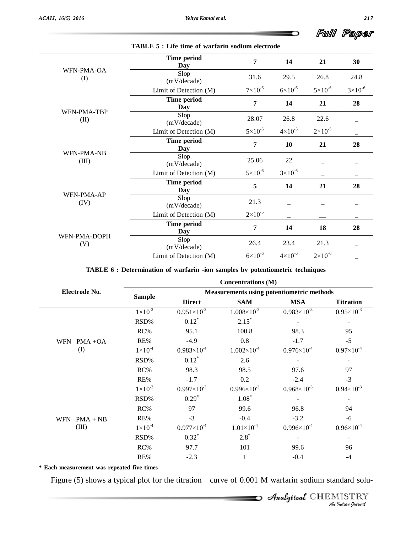Full Paper

D

|                     | Time period<br>Day     | 7                  | 14                 | 21                 | 30                 |
|---------------------|------------------------|--------------------|--------------------|--------------------|--------------------|
| WFN-PMA-OA<br>(I)   | Slop<br>(mV/decade)    | 31.6               | 29.5               | 26.8               | 24.8               |
|                     | Limit of Detection (M) | $7\times10^{-6}$   | $6 \times 10^{-6}$ | $5 \times 10^{-6}$ | $3 \times 10^{-6}$ |
|                     | Time period<br>Day     | 7                  | 14                 | 21                 | 28                 |
| WFN-PMA-TBP<br>(II) | Slop<br>(mV/decade)    | 28.07              | 26.8               | 22.6               |                    |
|                     | Limit of Detection (M) | $5 \times 10^{-5}$ | $4 \times 10^{-5}$ | $2 \times 10^{-5}$ |                    |
|                     | Time period<br>Day     | 7                  | 10                 | 21                 | 28                 |
| WFN-PMA-NB<br>(III) | Slop<br>(mV/decade)    | 25.06              | 22                 |                    |                    |
|                     | Limit of Detection (M) | $5 \times 10^{-6}$ | $3 \times 10^{-6}$ |                    |                    |
|                     | Time period<br>Day     | 5                  | 14                 | 21                 | 28                 |
| WFN-PMA-AP<br>(IV)  | Slop<br>(mV/decade)    | 21.3               |                    |                    |                    |
|                     | Limit of Detection (M) | $2 \times 10^{-5}$ |                    |                    |                    |
|                     | Time period<br>Day     | 7                  | 14                 | 18                 | 28                 |
| WFN-PMA-DOPH<br>(V) | Slop<br>(mV/decade)    | 26.4               | 23.4               | 21.3               |                    |
|                     | Limit of Detection (M) | $6 \times 10^{-6}$ | $4 \times 10^{-6}$ | $2 \times 10^{-6}$ |                    |

#### **TABLE 5 : Life time of warfarin sodium electrode**

#### **TABLE 6 : Determination of warfarin -ion samples by potentiometric techniques**

|                                                                                                   |                    |                                                  | <b>Concentrations (M)</b> |                        |                       |  |  |  |
|---------------------------------------------------------------------------------------------------|--------------------|--------------------------------------------------|---------------------------|------------------------|-----------------------|--|--|--|
| Electrode No.                                                                                     |                    | <b>Measurements using potentiometric methods</b> |                           |                        |                       |  |  |  |
|                                                                                                   | <b>Sample</b>      | <b>Direct</b>                                    | <b>SAM</b>                | <b>MSA</b>             | <b>Titration</b>      |  |  |  |
|                                                                                                   | $1 \times 10^{-3}$ | $0.951\times10^{-3}$                             | $1.008 \times 10^{-3}$    | $0.983\times10^{-3}$   | $0.95\times10^{-3}$   |  |  |  |
|                                                                                                   | RSD%               | $0.12*$                                          | $2.15*$                   |                        |                       |  |  |  |
|                                                                                                   | RC%                | 95.1                                             | 100.8                     | 98.3                   | 95                    |  |  |  |
| $WFN- PMA + OA$                                                                                   | RE%                | $-4.9$                                           | 0.8                       | $-1.7$                 | $-5$                  |  |  |  |
| (I)                                                                                               | $1 \times 10^{-4}$ | $0.983\times10^{4}$                              | $1.002 \times 10^{-4}$    | $0.976 \times 10^{-4}$ | $0.97\times10^{-4}$   |  |  |  |
|                                                                                                   | RSD%               | $0.12^*$                                         | 2.6                       |                        |                       |  |  |  |
|                                                                                                   | RC%                | 98.3                                             | 98.5                      | 97.6                   | 97                    |  |  |  |
|                                                                                                   | RE%                | $-1.7$                                           | 0.2                       | $-2.4$                 | $-3$                  |  |  |  |
|                                                                                                   | $1 \times 10^{-3}$ | $0.997\times10^{-3}$                             | $0.996 \times 10^{-3}$    | $0.968 \times 10^{-3}$ | $0.94 \times 10^{-3}$ |  |  |  |
|                                                                                                   | RSD%               | $0.29*$                                          | $1.08*$                   |                        |                       |  |  |  |
|                                                                                                   | RC%                | 97                                               | 99.6                      | 96.8                   | 94                    |  |  |  |
| $WFN- PMA + NB$                                                                                   | RE%                | $-3$                                             | $-0.4$                    | $-3.2$                 | $-6$                  |  |  |  |
| (III)                                                                                             | $1 \times 10^{-4}$ | $0.977\times10^{-4}$                             | $1.01 \times 10^{-4}$     | $0.996 \times 10^{-4}$ | $0.96 \times 10^{-4}$ |  |  |  |
|                                                                                                   | RSD%               | $0.32^*$                                         | $2.8*$                    |                        |                       |  |  |  |
|                                                                                                   | RC%                | 97.7                                             | 101                       | 99.6                   | 96                    |  |  |  |
|                                                                                                   | RE%                | $-2.3$                                           | 1                         | $-0.4$                 | $-4$                  |  |  |  |
| * Each measurement was repeated five times                                                        |                    |                                                  |                           |                        |                       |  |  |  |
| Figure (5) shows a typical plot for the titration curve of 0.001 M warfarin sodium standard solu- |                    |                                                  |                           |                        |                       |  |  |  |
|                                                                                                   |                    |                                                  |                           |                        |                       |  |  |  |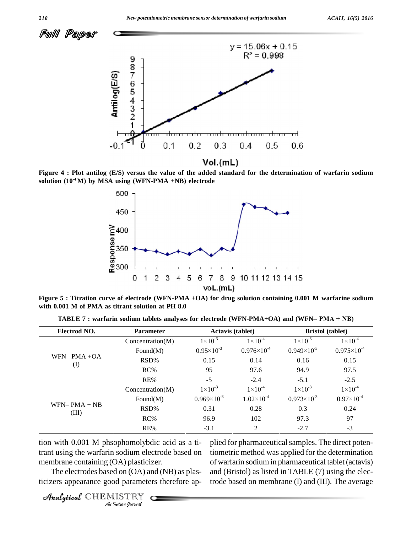



Figure 4 : Plot antilog (E/S) versus the value of the added standard for the determination of warfarin sodium **solution (10 -4 M) by MSA using (WFN-PMA +NB) electrode**



Figure 5 : Titration curve of electrode (WFN-PMA +OA) for drug solution containing 0.001 M warfarine sodium **with 0.001 M of PMA as titrant solution at PH 8.0**

| Electrod NO.             | <b>Parameter</b> |                       | <b>Actavis (tablet)</b> |                      | <b>Bristol</b> (tablet) |
|--------------------------|------------------|-----------------------|-------------------------|----------------------|-------------------------|
|                          | Concentration(M) | $1 \times 10^{-3}$    | $1 \times 10^{-4}$      | $1 \times 10^{-3}$   | $1 \times 10^{-4}$      |
|                          | Found $(M)$      | $0.95 \times 10^{-3}$ | $0.976 \times 10^{-4}$  | $0.949\times10^{-3}$ | $0.975 \times 10^{-4}$  |
| $WFN-PMA +OA$            | RSD%             | 0.15                  | 0.14                    | 0.16                 | 0.15                    |
| $\rm (I)$                | $RC\%$           | 95                    | 97.6                    | 94.9                 | 97.5                    |
|                          | RE%              | $-5$                  | $-2.4$                  | $-5.1$               | $-2.5$                  |
|                          | Concentration(M) | $1 \times 10^{-3}$    | $1 \times 10^{-4}$      | $1 \times 10^{-3}$   | $1 \times 10^{-4}$      |
|                          | Found $(M)$      | $0.969\times10^{-3}$  | $1.02\times10^{-4}$     | $0.973\times10^{-3}$ | $0.97\times10^{-4}$     |
| $WFN- PMA + NB$<br>(III) | RSD%             | 0.31                  | 0.28                    | 0.3                  | 0.24                    |
|                          | $RC\%$           | 96.9                  | 102                     | 97.3                 | 97                      |
|                          | RE%              | $-3.1$                | 2                       | $-2.7$               | $-3$                    |

**TABLE <sup>7</sup> : warfarin sodium tablets analyses for electrode (WFN**-**PMA+OA) and (WFN<sup>ñ</sup> PMA <sup>+</sup> NB)**

*Analytical Transform phosphomotypine and as a n* phosphomotypine and as a new phosphomotypine *I* sodium election<br> *I* sodium election<br> *I* d on (OA) and paramete<br> *IISTRY* tion with 0.001 M phsophomolybdic acid as a timembrane containing (OA) plasticizer.

plied for pharmaceutical samples. The direct potentiometric method was applied for the determination of warfarin sodium in pharmaceutical tablet(actavis) and (Bristol) as listed in TABLE (7) using the electrode based on membrane (I) and (III). The average

The electrodes based on (OA) and (NB) as plasticizers appearance good parameters therefore ap-

CHEMISTRY COMPANY